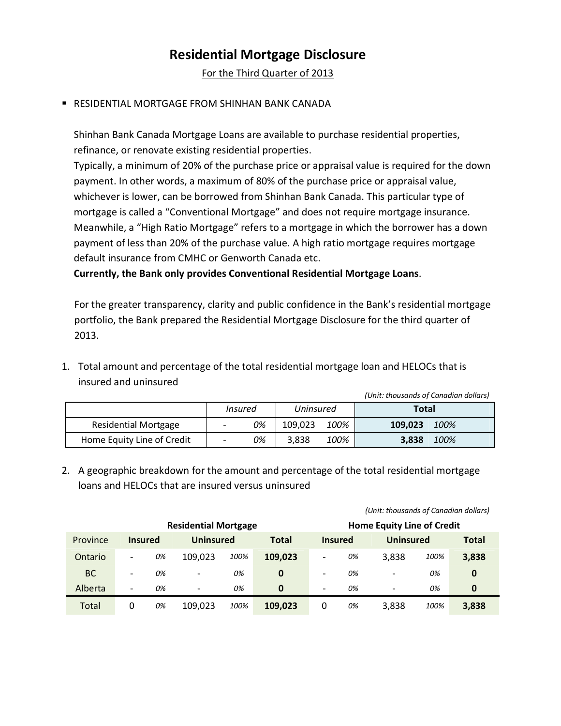## **Residential Mortgage Disclosure**

For the Third Quarter of 2013

## **E RESIDENTIAL MORTGAGE FROM SHINHAN BANK CANADA**

Shinhan Bank Canada Mortgage Loans are available to purchase residential properties, refinance, or renovate existing residential properties.

Typically, a minimum of 20% of the purchase price or appraisal value is required for the down payment. In other words, a maximum of 80% of the purchase price or appraisal value, whichever is lower, can be borrowed from Shinhan Bank Canada. This particular type of mortgage is called a "Conventional Mortgage" and does not require mortgage insurance. Meanwhile, a "High Ratio Mortgage" refers to a mortgage in which the borrower has a down payment of less than 20% of the purchase value. A high ratio mortgage requires mortgage default insurance from CMHC or Genworth Canada etc.

**Currently, the Bank only provides Conventional Residential Mortgage Loans**.

For the greater transparency, clarity and public confidence in the Bank's residential mortgage portfolio, the Bank prepared the Residential Mortgage Disclosure for the third quarter of 2013.

1. Total amount and percentage of the total residential mortgage loan and HELOCs that is insured and uninsured

 *(Unit: thousands of Canadian dollars)*

|                             | Insured |    | Uninsured |      | Total   |      |
|-----------------------------|---------|----|-----------|------|---------|------|
| <b>Residential Mortgage</b> | ۰       | 0% | 109.023   | 100% | 109.023 | 100% |
| Home Equity Line of Credit  | -       | 0% | 3.838     | 100% | 3,838   | 100% |

2. A geographic breakdown for the amount and percentage of the total residential mortgage loans and HELOCs that are insured versus uninsured

|                             |                          |    |                          |                                   |              | (Unit: thousands of Canadian dollars) |                |                          |      |              |
|-----------------------------|--------------------------|----|--------------------------|-----------------------------------|--------------|---------------------------------------|----------------|--------------------------|------|--------------|
| <b>Residential Mortgage</b> |                          |    |                          | <b>Home Equity Line of Credit</b> |              |                                       |                |                          |      |              |
| Province                    | <b>Insured</b>           |    | Uninsured                |                                   | <b>Total</b> |                                       | <b>Insured</b> | Uninsured                |      | <b>Total</b> |
| Ontario                     | $\overline{\phantom{a}}$ | 0% | 109.023                  | 100%                              | 109,023      | $\qquad \qquad \blacksquare$          | 0%             | 3,838                    | 100% | 3,838        |
| BC                          | $\overline{\phantom{a}}$ | 0% | $\overline{\phantom{0}}$ | 0%                                | 0            | $\overline{\phantom{a}}$              | 0%             | ۰                        | 0%   | 0            |
| Alberta                     | $\overline{\phantom{a}}$ | 0% | $\overline{\phantom{a}}$ | 0%                                | 0            | $\overline{\phantom{a}}$              | 0%             | $\overline{\phantom{a}}$ | 0%   | 0            |
| Total                       | 0                        | 0% | 109,023                  | 100%                              | 109,023      | 0                                     | 0%             | 3,838                    | 100% | 3,838        |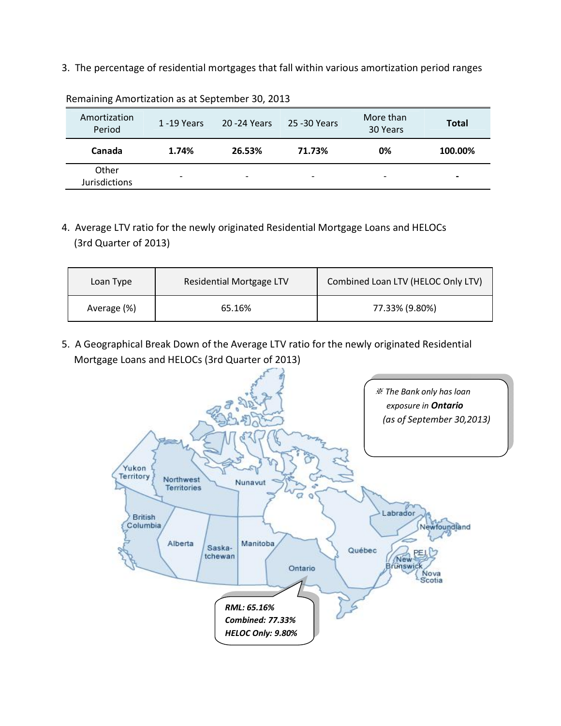3. The percentage of residential mortgages that fall within various amortization period ranges

| Amortization<br>Period        | 1-19 Years               | 20 - 24 Years | 25 -30 Years             | More than<br>30 Years    | <b>Total</b>             |
|-------------------------------|--------------------------|---------------|--------------------------|--------------------------|--------------------------|
| Canada                        | 1.74%                    | 26.53%        | 71.73%                   | 0%                       | 100.00%                  |
| Other<br><b>Jurisdictions</b> | $\overline{\phantom{0}}$ |               | $\overline{\phantom{0}}$ | $\overline{\phantom{a}}$ | $\overline{\phantom{0}}$ |

Remaining Amortization as at September 30, 2013

4. Average LTV ratio for the newly originated Residential Mortgage Loans and HELOCs (3rd Quarter of 2013)

| Loan Type   | Residential Mortgage LTV | Combined Loan LTV (HELOC Only LTV) |
|-------------|--------------------------|------------------------------------|
| Average (%) | 65.16%                   | 77.33% (9.80%)                     |

5. A Geographical Break Down of the Average LTV ratio for the newly originated Residential Mortgage Loans and HELOCs (3rd Quarter of 2013)